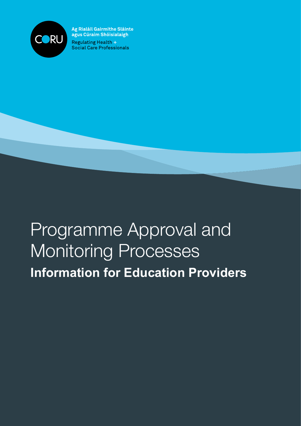

Ag Rialáil Gairmithe Sláinte agus Cúraim Shóisialaigh Regulating Health + Social Care Professionals

# Programme Approval and Monitoring Processes **Information for Education Providers**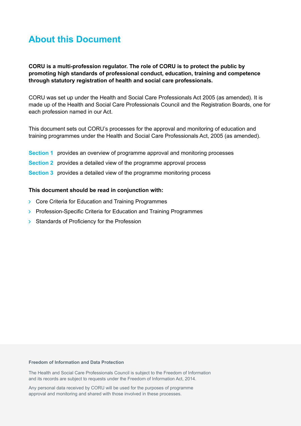# **About this Document**

**CORU is a multi-profession regulator. The role of CORU is to protect the public by promoting high standards of professional conduct, education, training and competence through statutory registration of health and social care professionals.**

CORU was set up under the Health and Social Care Professionals Act 2005 (as amended). It is made up of the Health and Social Care Professionals Council and the Registration Boards, one for each profession named in our Act.

This document sets out CORU's processes for the approval and monitoring of education and training programmes under the Health and Social Care Professionals Act, 2005 (as amended).

- **Section 1** provides an overview of programme approval and monitoring processes
- **Section 2** provides a detailed view of the programme approval process
- **Section 3** provides a detailed view of the programme monitoring process

#### **This document should be read in conjunction with:**

- **Core Criteria for Education and Training Programmes**
- **>** Profession-Specific Criteria for Education and Training Programmes
- $\triangleright$  Standards of Proficiency for the Profession

#### **Freedom of Information and Data Protection**

The Health and Social Care Professionals Council is subject to the Freedom of Information and its records are subject to requests under the Freedom of Information Act, 2014.

Any personal data received by CORU will be used for the purposes of programme approval and monitoring and shared with those involved in these processes.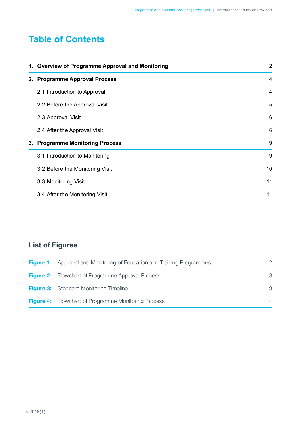# **Table of Contents**

|  | 1. Overview of Programme Approval and Monitoring | $\boldsymbol{2}$ |
|--|--------------------------------------------------|------------------|
|  | 2. Programme Approval Process                    | 4                |
|  | 2.1 Introduction to Approval                     | 4                |
|  | 2.2 Before the Approval Visit                    | 5                |
|  | 2.3 Approval Visit                               | 6                |
|  | 2.4 After the Approval Visit                     | 6                |
|  | 3. Programme Monitoring Process                  | 9                |
|  | 3.1 Introduction to Monitoring                   | 9                |
|  | 3.2 Before the Monitoring Visit                  | 10               |
|  | 3.3 Monitoring Visit                             | 11               |
|  | 3.4 After the Monitoring Visit                   | 11               |

# **List of Figures**

| <b>Figure 1:</b> Approval and Monitoring of Education and Training Programmes |    |
|-------------------------------------------------------------------------------|----|
| <b>Figure 2:</b> Flowchart of Programme Approval Process                      | 8  |
| <b>Figure 3:</b> Standard Monitoring Timeline                                 | 9  |
| <b>Figure 4:</b> Flowchart of Programme Monitoring Process                    | 14 |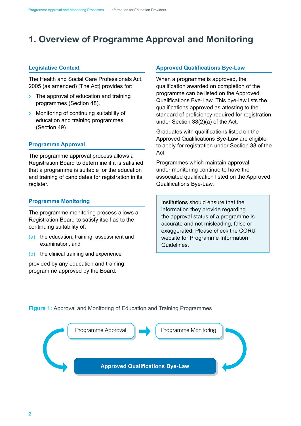# <span id="page-3-0"></span>**1. Overview of Programme Approval and Monitoring**

#### **Legislative Context**

The Health and Social Care Professionals Act, 2005 (as amended) [The Act] provides for:

- $\triangleright$  The approval of education and training programmes (Section 48).
- **Monitoring of continuing suitability of** education and training programmes (Section 49).

#### **Programme Approval**

The programme approval process allows a Registration Board to determine if it is satisfied that a programme is suitable for the education and training of candidates for registration in its register.

#### **Programme Monitoring**

The programme monitoring process allows a Registration Board to satisfy itself as to the continuing suitability of:

- (a) the education, training, assessment and examination, and
- (b) the clinical training and experience

provided by any education and training programme approved by the Board.

#### **Approved Qualifications Bye-Law**

When a programme is approved, the qualification awarded on completion of the programme can be listed on the Approved Qualifications Bye-Law. This bye-law lists the qualifications approved as attesting to the standard of proficiency required for registration under Section 38(2)(a) of the Act.

Graduates with qualifications listed on the Approved Qualifications Bye-Law are eligible to apply for registration under Section 38 of the Act.

Programmes which maintain approval under monitoring continue to have the associated qualification listed on the Approved Qualifications Bye-Law.

Institutions should ensure that the information they provide regarding the approval status of a programme is accurate and not misleading, false or exaggerated. Please check the CORU website for Programme Information Guidelines.

**Figure 1:** Approval and Monitoring of Education and Training Programmes

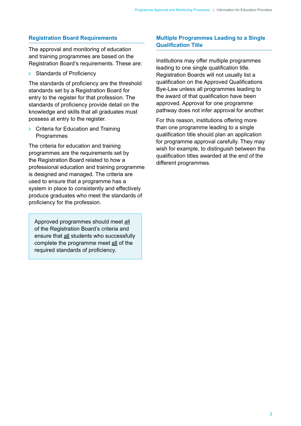#### **Registration Board Requirements**

The approval and monitoring of education and training programmes are based on the Registration Board's requirements. These are:

 $\triangleright$  Standards of Proficiency

The standards of proficiency are the threshold standards set by a Registration Board for entry to the register for that profession. The standards of proficiency provide detail on the knowledge and skills that all graduates must possess at entry to the register.

 $\triangleright$  Criteria for Education and Training **Programmes** 

The criteria for education and training programmes are the requirements set by the Registration Board related to how a professional education and training programme is designed and managed. The criteria are used to ensure that a programme has a system in place to consistently and effectively produce graduates who meet the standards of proficiency for the profession.

Approved programmes should meet all of the Registration Board's criteria and ensure that all students who successfully complete the programme meet all of the required standards of proficiency.

#### **Multiple Programmes Leading to a Single Qualification Title**

Institutions may offer multiple programmes leading to one single qualification title. Registration Boards will not usually list a qualification on the Approved Qualifications Bye-Law unless all programmes leading to the award of that qualification have been approved. Approval for one programme pathway does not infer approval for another.

For this reason, institutions offering more than one programme leading to a single qualification title should plan an application for programme approval carefully. They may wish for example, to distinguish between the qualification titles awarded at the end of the different programmes.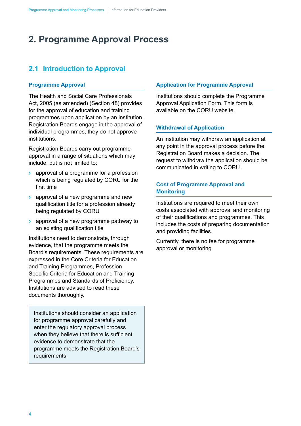# <span id="page-5-0"></span>**2. Programme Approval Process**

### **2.1 Introduction to Approval**

#### **Programme Approval**

The Health and Social Care Professionals Act, 2005 (as amended) (Section 48) provides for the approval of education and training programmes upon application by an institution. Registration Boards engage in the approval of individual programmes, they do not approve institutions.

Registration Boards carry out programme approval in a range of situations which may include, but is not limited to:

- approval of a programme for a profession which is being regulated by CORU for the first time
- $\geq$  approval of a new programme and new qualification title for a profession already being regulated by CORU
- **Example 2** approval of a new programme pathway to an existing qualification title

Institutions need to demonstrate, through evidence, that the programme meets the Board's requirements. These requirements are expressed in the Core Criteria for Education and Training Programmes, Profession Specific Criteria for Education and Training Programmes and Standards of Proficiency. Institutions are advised to read these documents thoroughly.

Institutions should consider an application for programme approval carefully and enter the regulatory approval process when they believe that there is sufficient evidence to demonstrate that the programme meets the Registration Board's requirements.

#### **Application for Programme Approval**

Institutions should complete the Programme Approval Application Form. This form is available on the CORU website.

#### **Withdrawal of Application**

An institution may withdraw an application at any point in the approval process before the Registration Board makes a decision. The request to withdraw the application should be communicated in writing to CORU.

#### **Cost of Programme Approval and Monitoring**

Institutions are required to meet their own costs associated with approval and monitoring of their qualifications and programmes. This includes the costs of preparing documentation and providing facilities.

Currently, there is no fee for programme approval or monitoring.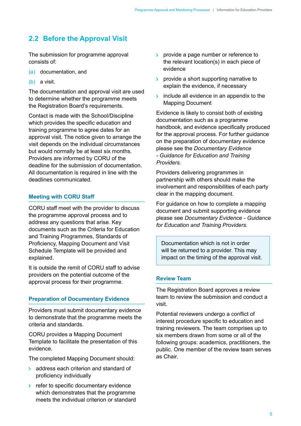### <span id="page-6-0"></span>**2.2 Before the Approval Visit**

The submission for programme approval consists of:

- (a) documentation, and
- (b) a visit.

The documentation and approval visit are used to determine whether the programme meets the Registration Board's requirements.

Contact is made with the School/Discipline which provides the specific education and training programme to agree dates for an approval visit. The notice given to arrange the visit depends on the individual circumstances but would normally be at least six months. Providers are informed by CORU of the deadline for the submission of documentation. All documentation is required in line with the deadlines communicated.

#### **Meeting with CORU Staff**

CORU staff meet with the provider to discuss the programme approval process and to address any questions that arise. Key documents such as the Criteria for Education and Training Programmes, Standards of Proficiency, Mapping Document and Visit Schedule Template will be provided and explained.

It is outside the remit of CORU staff to advise providers on the potential outcome of the approval process for their programme.

#### **Preparation of Documentary Evidence**

Providers must submit documentary evidence to demonstrate that the programme meets the criteria and standards.

CORU provides a Mapping Document Template to facilitate the presentation of this evidence.

The completed Mapping Document should:

- **address each criterion and standard of** proficiency individually
- $\triangleright$  refer to specific documentary evidence which demonstrates that the programme meets the individual criterion or standard
- $\triangleright$  provide a page number or reference to the relevant location(s) in each piece of evidence
- $\triangleright$  provide a short supporting narrative to explain the evidence, if necessary
- $\rightarrow$  include all evidence in an appendix to the Mapping Document

Evidence is likely to consist both of existing documentation such as a programme handbook, and evidence specifically produced for the approval process. For further guidance on the preparation of documentary evidence please see the *Documentary Evidence - Guidance for Education and Training Providers.*

Providers delivering programmes in partnership with others should make the involvement and responsibilities of each party clear in the mapping document.

For guidance on how to complete a mapping document and submit supporting evidence please see *Documentary Evidence - Guidance for Education and Training Providers*.

Documentation which is not in order will be returned to a provider. This may impact on the timing of the approval visit.

#### **Review Team**

The Registration Board approves a review team to review the submission and conduct a visit.

Potential reviewers undergo a conflict of interest procedure specific to education and training reviewers. The team comprises up to six members drawn from some or all of the following groups: academics, practitioners, the public. One member of the review team serves as Chair.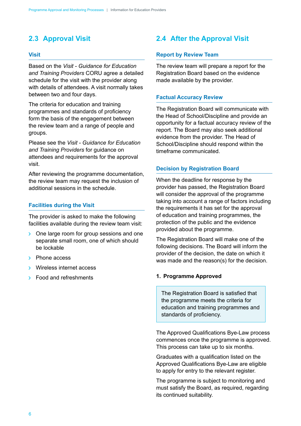# <span id="page-7-0"></span>**2.3 Approval Visit**

#### **Visit**

Based on the *Visit - Guidance for Education and Training Providers* CORU agree a detailed schedule for the visit with the provider along with details of attendees. A visit normally takes between two and four days.

The criteria for education and training programmes and standards of proficiency form the basis of the engagement between the review team and a range of people and groups.

Please see the *Visit - Guidance for Education and Training Providers* for guidance on attendees and requirements for the approval visit.

After reviewing the programme documentation, the review team may request the inclusion of additional sessions in the schedule.

#### **Facilities during the Visit**

The provider is asked to make the following facilities available during the review team visit:

- > One large room for group sessions and one separate small room, one of which should be lockable
- $\rightarrow$  Phone access
- **Wireless internet access**
- $\triangleright$  Food and refreshments

## **2.4 After the Approval Visit**

#### **Report by Review Team**

The review team will prepare a report for the Registration Board based on the evidence made available by the provider.

#### **Factual Accuracy Review**

The Registration Board will communicate with the Head of School/Discipline and provide an opportunity for a factual accuracy review of the report. The Board may also seek additional evidence from the provider. The Head of School/Discipline should respond within the timeframe communicated.

#### **Decision by Registration Board**

When the deadline for response by the provider has passed, the Registration Board will consider the approval of the programme taking into account a range of factors including the requirements it has set for the approval of education and training programmes, the protection of the public and the evidence provided about the programme.

The Registration Board will make one of the following decisions. The Board will inform the provider of the decision, the date on which it was made and the reason(s) for the decision.

#### **1. Programme Approved**

The Registration Board is satisfied that the programme meets the criteria for education and training programmes and standards of proficiency.

The Approved Qualifications Bye-Law process commences once the programme is approved. This process can take up to six months.

Graduates with a qualification listed on the Approved Qualifications Bye-Law are eligible to apply for entry to the relevant register.

The programme is subject to monitoring and must satisfy the Board, as required, regarding its continued suitability.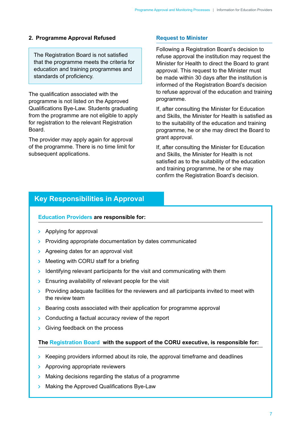#### **2. Programme Approval Refused**

The Registration Board is not satisfied that the programme meets the criteria for education and training programmes and standards of proficiency.

The qualification associated with the programme is not listed on the Approved Qualifications Bye-Law. Students graduating from the programme are not eligible to apply for registration to the relevant Registration Board.

The provider may apply again for approval of the programme. There is no time limit for subsequent applications.

#### **Request to Minister**

Following a Registration Board's decision to refuse approval the institution may request the Minister for Health to direct the Board to grant approval. This request to the Minister must be made within 30 days after the institution is informed of the Registration Board's decision to refuse approval of the education and training programme.

If, after consulting the Minister for Education and Skills, the Minister for Health is satisfied as to the suitability of the education and training programme, he or she may direct the Board to grant approval.

If, after consulting the Minister for Education and Skills, the Minister for Health is not satisfied as to the suitability of the education and training programme, he or she may confirm the Registration Board's decision.

### **Key Responsibilities in Approval**

#### **Education Providers are responsible for:**

- $\rightarrow$  Applying for approval
- $\triangleright$  Providing appropriate documentation by dates communicated
- > Agreeing dates for an approval visit
- Meeting with CORU staff for a briefing
- Identifying relevant participants for the visit and communicating with them
- $\triangleright$  Ensuring availability of relevant people for the visit
- $\triangleright$  Providing adequate facilities for the reviewers and all participants invited to meet with the review team
- $\triangleright$  Bearing costs associated with their application for programme approval
- $\triangleright$  Conducting a factual accuracy review of the report
- Siving feedback on the process

#### **The Registration Board, with the support of the CORU executive, is responsible for:**

- $\triangleright$  Keeping providers informed about its role, the approval timeframe and deadlines
- > Approving appropriate reviewers
- Making decisions regarding the status of a programme
- $\triangleright$  Making the Approved Qualifications Bye-Law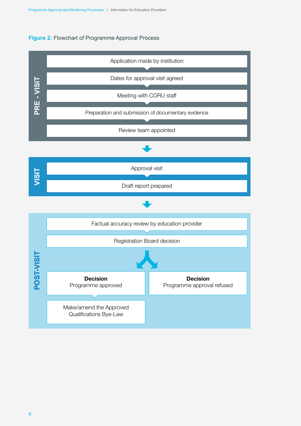#### **Figure 2:** Flowchart of Programme Approval Process

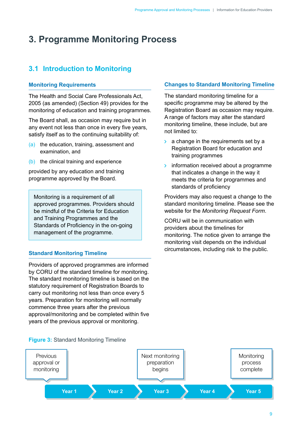# <span id="page-10-0"></span>**3. Programme Monitoring Process**

# **3.1 Introduction to Monitoring**

#### **Monitoring Requirements**

The Health and Social Care Professionals Act, 2005 (as amended) (Section 49) provides for the monitoring of education and training programmes.

The Board shall, as occasion may require but in any event not less than once in every five years, satisfy itself as to the continuing suitability of:

- (a) the education, training, assessment and examination, and
- (b) the clinical training and experience

provided by any education and training programme approved by the Board.

Monitoring is a requirement of all approved programmes. Providers should be mindful of the Criteria for Education and Training Programmes and the Standards of Proficiency in the on-going management of the programme.

#### **Standard Monitoring Timeline**

Providers of approved programmes are informed by CORU of the standard timeline for monitoring. The standard monitoring timeline is based on the statutory requirement of Registration Boards to carry out monitoring not less than once every 5 years. Preparation for monitoring will normally commence three years after the previous approval/monitoring and be completed within five years of the previous approval or monitoring.

#### **Changes to Standard Monitoring Timeline**

The standard monitoring timeline for a specific programme may be altered by the Registration Board as occasion may require. A range of factors may alter the standard monitoring timeline, these include, but are not limited to:

- $\geq$  a change in the requirements set by a Registration Board for education and training programmes
- information received about a programme  $\sum_{i=1}^{n}$ that indicates a change in the way it meets the criteria for programmes and standards of proficiency

Providers may also request a change to the standard monitoring timeline. Please see the website for the *Monitoring Request Form*.

CORU will be in communication with providers about the timelines for monitoring. The notice given to arrange the monitoring visit depends on the individual circumstances, including risk to the public.



#### **Figure 3:** Standard Monitoring Timeline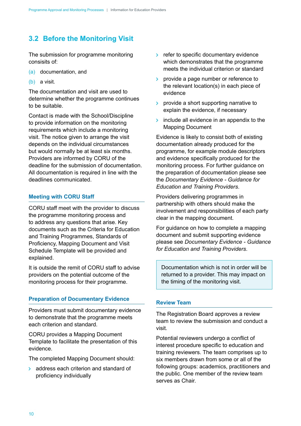# <span id="page-11-0"></span>**3.2 Before the Monitoring Visit**

The submission for programme monitoring consisits of:

- (a) documentation, and
- (b) a visit.

The documentation and visit are used to determine whether the programme continues to be suitable.

Contact is made with the School/Discipline to provide information on the monitoring requirements which include a monitoring visit. The notice given to arrange the visit depends on the individual circumstances but would normally be at least six months. Providers are informed by CORU of the deadline for the submission of documentation. All documentation is required in line with the deadlines communicated.

#### **Meeting with CORU Staff**

CORU staff meet with the provider to discuss the programme monitoring process and to address any questions that arise. Key documents such as the Criteria for Education and Training Programmes, Standards of Proficiency, Mapping Document and Visit Schedule Template will be provided and explained.

It is outside the remit of CORU staff to advise providers on the potential outcome of the monitoring process for their programme.

#### **Preparation of Documentary Evidence**

Providers must submit documentary evidence to demonstrate that the programme meets each criterion and standard.

CORU provides a Mapping Document Template to facilitate the presentation of this evidence.

The completed Mapping Document should:

**address each criterion and standard of** proficiency individually

- $\triangleright$  refer to specific documentary evidence which demonstrates that the programme meets the individual criterion or standard
- $\rightarrow$  provide a page number or reference to the relevant location(s) in each piece of evidence
- $\rightarrow$  provide a short supporting narrative to explain the evidence, if necessary
- $\rightarrow$  include all evidence in an appendix to the Mapping Document

Evidence is likely to consist both of existing documentation already produced for the programme, for example module descriptors and evidence specifically produced for the monitoring process. For further guidance on the preparation of documentation please see the *Documentary Evidence - Guidance for Education and Training Providers*.

Providers delivering programmes in partnership with others should make the involvement and responsibilities of each party clear in the mapping document.

For guidance on how to complete a mapping document and submit supporting evidence please see *Documentary Evidence - Guidance for Education and Training Providers*.

Documentation which is not in order will be returned to a provider. This may impact on the timing of the monitoring visit.

#### **Review Team**

The Registration Board approves a review team to review the submission and conduct a visit.

Potential reviewers undergo a conflict of interest procedure specific to education and training reviewers. The team comprises up to six members drawn from some or all of the following groups: academics, practitioners and the public. One member of the review team serves as Chair.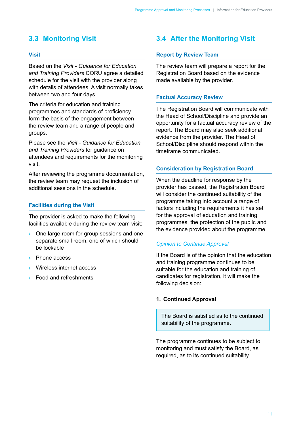### <span id="page-12-0"></span>**3.3 Monitoring Visit**

#### **Visit**

Based on the *Visit - Guidance for Education and Training Providers* CORU agree a detailed schedule for the visit with the provider along with details of attendees. A visit normally takes between two and four days.

The criteria for education and training programmes and standards of proficiency form the basis of the engagement between the review team and a range of people and groups.

Please see the *Visit - Guidance for Education and Training Providers* for guidance on attendees and requirements for the monitoring visit.

After reviewing the programme documentation, the review team may request the inclusion of additional sessions in the schedule.

#### **Facilities during the Visit**

The provider is asked to make the following facilities available during the review team visit:

- > One large room for group sessions and one separate small room, one of which should be lockable
- $\rightarrow$  Phone access
- **Wireless internet access**
- $\triangleright$  Food and refreshments

### **3.4 After the Monitoring Visit**

#### **Report by Review Team**

The review team will prepare a report for the Registration Board based on the evidence made available by the provider.

#### **Factual Accuracy Review**

The Registration Board will communicate with the Head of School/Discipline and provide an opportunity for a factual accuracy review of the report. The Board may also seek additional evidence from the provider. The Head of School/Discipline should respond within the timeframe communicated.

#### **Consideration by Registration Board**

When the deadline for response by the provider has passed, the Registration Board will consider the continued suitability of the programme taking into account a range of factors including the requirements it has set for the approval of education and training programmes, the protection of the public and the evidence provided about the programme.

#### *Opinion to Continue Approval*

If the Board is of the opinion that the education and training programme continues to be suitable for the education and training of candidates for registration, it will make the following decision:

#### **1. Continued Approval**

The Board is satisfied as to the continued suitability of the programme.

The programme continues to be subject to monitoring and must satisfy the Board, as required, as to its continued suitability.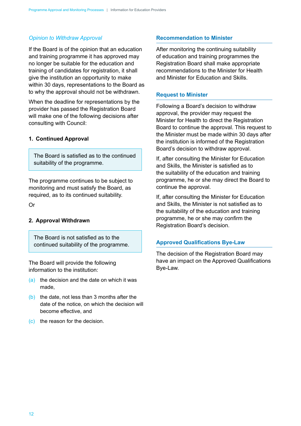#### *Opinion to Withdraw Approval*

If the Board is of the opinion that an education and training programme it has approved may no longer be suitable for the education and training of candidates for registration, it shall give the institution an opportunity to make within 30 days, representations to the Board as to why the approval should not be withdrawn.

When the deadline for representations by the provider has passed the Registration Board will make one of the following decisions after consulting with Council:

#### **1. Continued Approval**

The Board is satisfied as to the continued suitability of the programme.

The programme continues to be subject to monitoring and must satisfy the Board, as required, as to its continued suitability.

Or

#### **2. Approval Withdrawn**

The Board is not satisfied as to the continued suitability of the programme.

The Board will provide the following information to the institution:

- (a) the decision and the date on which it was made,
- (b) the date, not less than 3 months after the date of the notice, on which the decision will become effective, and
- (c) the reason for the decision.

#### **Recommendation to Minister**

After monitoring the continuing suitability of education and training programmes the Registration Board shall make appropriate recommendations to the Minister for Health and Minister for Education and Skills.

#### **Request to Minister**

Following a Board's decision to withdraw approval, the provider may request the Minister for Health to direct the Registration Board to continue the approval. This request to the Minister must be made within 30 days after the institution is informed of the Registration Board's decision to withdraw approval.

If, after consulting the Minister for Education and Skills, the Minister is satisfied as to the suitability of the education and training programme, he or she may direct the Board to continue the approval.

If, after consulting the Minister for Education and Skills, the Minister is not satisfied as to the suitability of the education and training programme, he or she may confirm the Registration Board's decision.

#### **Approved Qualifications Bye-Law**

The decision of the Registration Board may have an impact on the Approved Qualifications Bye-Law.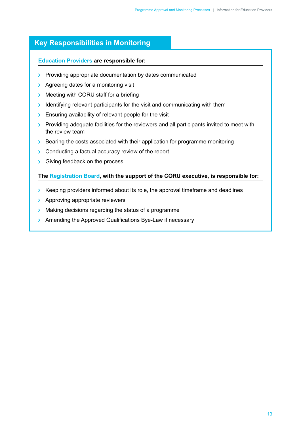### **Key Responsibilities in Monitoring**

#### **Education Providers are responsible for:**

- $\triangleright$  Providing appropriate documentation by dates communicated
- > Agreeing dates for a monitoring visit
- $\triangleright$  Meeting with CORU staff for a briefing
- $\triangleright$  Identifying relevant participants for the visit and communicating with them
- $\triangleright$  Ensuring availability of relevant people for the visit
- $\triangleright$  Providing adequate facilities for the reviewers and all participants invited to meet with the review team
- $\geq$  Bearing the costs associated with their application for programme monitoring
- $\triangleright$  Conducting a factual accuracy review of the report
- Siving feedback on the process

#### **The Registration Board, with the support of the CORU executive, is responsible for:**

- $\rightarrow$  Keeping providers informed about its role, the approval timeframe and deadlines
- > Approving appropriate reviewers
- Making decisions regarding the status of a programme  $\sum_{i=1}^{n}$
- > Amending the Approved Qualifications Bye-Law if necessary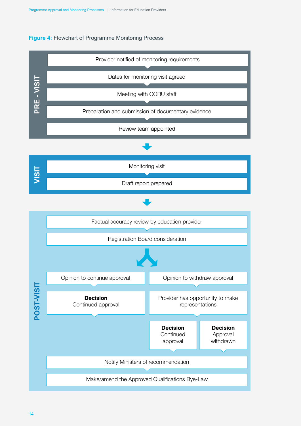#### **Figure 4:** Flowchart of Programme Monitoring Process